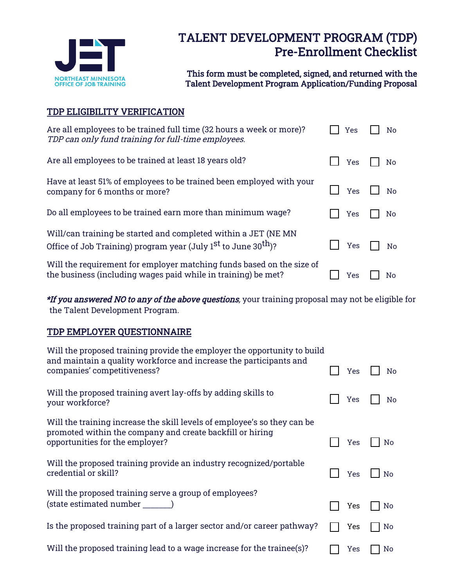

# TALENT DEVELOPMENT PROGRAM (TDP) Pre-Enrollment Checklist

This form must be completed, signed, and returned with the Talent Development Program Application/Funding Proposal

## TDP ELIGIBILITY VERIFICATION

| Are all employees to be trained full time (32 hours a week or more)?<br>TDP can only fund training for full-time employees.                     | Yes        | No |
|-------------------------------------------------------------------------------------------------------------------------------------------------|------------|----|
| Are all employees to be trained at least 18 years old?                                                                                          | <b>Yes</b> | No |
| Have at least 51% of employees to be trained been employed with your<br>company for 6 months or more?                                           | <b>Yes</b> | No |
| Do all employees to be trained earn more than minimum wage?                                                                                     | <b>Yes</b> | No |
| Will/can training be started and completed within a JET (NE MN)<br>Office of Job Training) program year (July $1st$ to June 30 <sup>th</sup> )? | <b>Yes</b> | Nο |
| Will the requirement for employer matching funds based on the size of<br>the business (including wages paid while in training) be met?          | Yes        | No |

\*If you answered NO to any of the above questions, your training proposal may not be eligible for the Talent Development Program.

### TDP EMPLOYER QUESTIONNAIRE

| Will the proposed training provide the employer the opportunity to build<br>and maintain a quality workforce and increase the participants and<br>companies' competitiveness? |            |                |
|-------------------------------------------------------------------------------------------------------------------------------------------------------------------------------|------------|----------------|
|                                                                                                                                                                               | <b>Yes</b> | No             |
| Will the proposed training avert lay-offs by adding skills to<br>your workforce?                                                                                              | Yes        | No             |
| Will the training increase the skill levels of employee's so they can be                                                                                                      |            |                |
| promoted within the company and create backfill or hiring<br>opportunities for the employer?                                                                                  | Yes        | No             |
| Will the proposed training provide an industry recognized/portable<br>credential or skill?                                                                                    | <b>Yes</b> | N <sub>0</sub> |
| Will the proposed training serve a group of employees?                                                                                                                        |            |                |
| (state estimated number                                                                                                                                                       | Yes        | No             |
| Is the proposed training part of a larger sector and/or career pathway?                                                                                                       | Yes        | N0             |
| Will the proposed training lead to a wage increase for the trainee(s)?                                                                                                        | Yes        | No             |